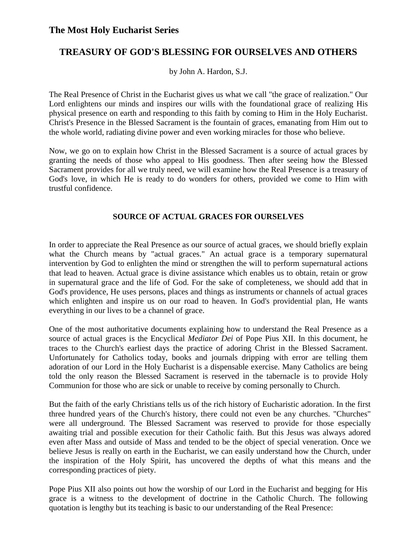## **The Most Holy Eucharist Series**

# **TREASURY OF GOD'S BLESSING FOR OURSELVES AND OTHERS**

by John A. Hardon, S.J.

The Real Presence of Christ in the Eucharist gives us what we call "the grace of realization." Our Lord enlightens our minds and inspires our wills with the foundational grace of realizing His physical presence on earth and responding to this faith by coming to Him in the Holy Eucharist. Christ's Presence in the Blessed Sacrament is the fountain of graces, emanating from Him out to the whole world, radiating divine power and even working miracles for those who believe.

Now, we go on to explain how Christ in the Blessed Sacrament is a source of actual graces by granting the needs of those who appeal to His goodness. Then after seeing how the Blessed Sacrament provides for all we truly need, we will examine how the Real Presence is a treasury of God's love, in which He is ready to do wonders for others, provided we come to Him with trustful confidence.

#### **SOURCE OF ACTUAL GRACES FOR OURSELVES**

In order to appreciate the Real Presence as our source of actual graces, we should briefly explain what the Church means by "actual graces." An actual grace is a temporary supernatural intervention by God to enlighten the mind or strengthen the will to perform supernatural actions that lead to heaven. Actual grace is divine assistance which enables us to obtain, retain or grow in supernatural grace and the life of God. For the sake of completeness, we should add that in God's providence, He uses persons, places and things as instruments or channels of actual graces which enlighten and inspire us on our road to heaven. In God's providential plan, He wants everything in our lives to be a channel of grace.

One of the most authoritative documents explaining how to understand the Real Presence as a source of actual graces is the Encyclical *Mediator Dei* of Pope Pius XII. In this document, he traces to the Church's earliest days the practice of adoring Christ in the Blessed Sacrament. Unfortunately for Catholics today, books and journals dripping with error are telling them adoration of our Lord in the Holy Eucharist is a dispensable exercise. Many Catholics are being told the only reason the Blessed Sacrament is reserved in the tabernacle is to provide Holy Communion for those who are sick or unable to receive by coming personally to Church.

But the faith of the early Christians tells us of the rich history of Eucharistic adoration. In the first three hundred years of the Church's history, there could not even be any churches. "Churches" were all underground. The Blessed Sacrament was reserved to provide for those especially awaiting trial and possible execution for their Catholic faith. But this Jesus was always adored even after Mass and outside of Mass and tended to be the object of special veneration. Once we believe Jesus is really on earth in the Eucharist, we can easily understand how the Church, under the inspiration of the Holy Spirit, has uncovered the depths of what this means and the corresponding practices of piety.

Pope Pius XII also points out how the worship of our Lord in the Eucharist and begging for His grace is a witness to the development of doctrine in the Catholic Church. The following quotation is lengthy but its teaching is basic to our understanding of the Real Presence: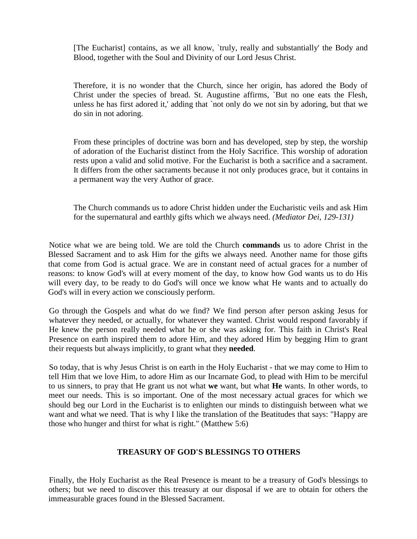[The Eucharist] contains, as we all know, `truly, really and substantially' the Body and Blood, together with the Soul and Divinity of our Lord Jesus Christ.

Therefore, it is no wonder that the Church, since her origin, has adored the Body of Christ under the species of bread. St. Augustine affirms, `But no one eats the Flesh, unless he has first adored it,' adding that `not only do we not sin by adoring, but that we do sin in not adoring.

From these principles of doctrine was born and has developed, step by step, the worship of adoration of the Eucharist distinct from the Holy Sacrifice. This worship of adoration rests upon a valid and solid motive. For the Eucharist is both a sacrifice and a sacrament. It differs from the other sacraments because it not only produces grace, but it contains in a permanent way the very Author of grace.

The Church commands us to adore Christ hidden under the Eucharistic veils and ask Him for the supernatural and earthly gifts which we always need. *(Mediator Dei, 129-131)* 

Notice what we are being told. We are told the Church **commands** us to adore Christ in the Blessed Sacrament and to ask Him for the gifts we always need. Another name for those gifts that come from God is actual grace. We are in constant need of actual graces for a number of reasons: to know God's will at every moment of the day, to know how God wants us to do His will every day, to be ready to do God's will once we know what He wants and to actually do God's will in every action we consciously perform.

Go through the Gospels and what do we find? We find person after person asking Jesus for whatever they needed, or actually, for whatever they wanted. Christ would respond favorably if He knew the person really needed what he or she was asking for. This faith in Christ's Real Presence on earth inspired them to adore Him, and they adored Him by begging Him to grant their requests but always implicitly, to grant what they **needed**.

So today, that is why Jesus Christ is on earth in the Holy Eucharist - that we may come to Him to tell Him that we love Him, to adore Him as our Incarnate God, to plead with Him to be merciful to us sinners, to pray that He grant us not what **we** want, but what **He** wants. In other words, to meet our needs. This is so important. One of the most necessary actual graces for which we should beg our Lord in the Eucharist is to enlighten our minds to distinguish between what we want and what we need. That is why I like the translation of the Beatitudes that says: "Happy are those who hunger and thirst for what is right." (Matthew 5:6)

#### **TREASURY OF GOD'S BLESSINGS TO OTHERS**

Finally, the Holy Eucharist as the Real Presence is meant to be a treasury of God's blessings to others; but we need to discover this treasury at our disposal if we are to obtain for others the immeasurable graces found in the Blessed Sacrament.